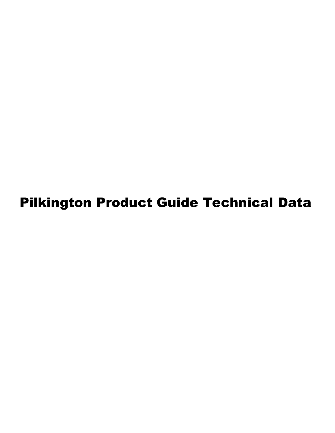Pilkington Product Guide Technical Data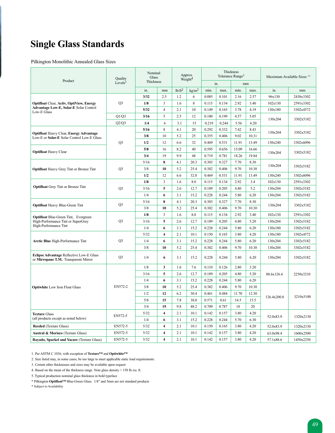## **Single Glass Standards**

Pilkington Monolithic Annealed Glass Sizes

| Product                                                                                   | <b>Quality</b>      | Nominal<br>Glass |                         |           | Approx.<br>Weight <sup>4</sup> |       |       | Thickness<br>Tolerance Range <sup>1</sup> |       | Maximum Available Sizes <sup>2,3</sup> |           |
|-------------------------------------------------------------------------------------------|---------------------|------------------|-------------------------|-----------|--------------------------------|-------|-------|-------------------------------------------|-------|----------------------------------------|-----------|
|                                                                                           | Levels <sup>1</sup> | Thickness        |                         |           |                                |       | in.   | mm                                        |       |                                        |           |
|                                                                                           |                     | in.              | mm                      | $1b/ft^2$ | kg/m <sup>2</sup>              | min.  | max.  | min.                                      | max.  | in.                                    | mm        |
|                                                                                           |                     | 3/32             | 2.5                     | 1.2       | 6                              | 0.085 | 0.101 | 2.16                                      | 2.57  | 96x130                                 | 2438x3302 |
| <b>Optifloat Clear, Activ, OptiView, Energy</b><br>Advantage Low-E, Solar-E Solar Control | O <sub>3</sub>      | 1/8              | $\mathbf{3}$            | 1.6       | 8                              | 0.115 | 0.134 | 2.92                                      | 3.40  | 102x130                                | 2591x3302 |
| Low-E Glass                                                                               |                     | 5/32             | $\overline{4}$          | 2.1       | 10                             | 0.149 | 0.165 | 3.78                                      | 4.19  | 130x180                                | 3302x4572 |
|                                                                                           | Q1/Q3               | 3/16             | 5                       | 2.5       | 12                             | 0.180 | 0.199 | 4.57                                      | 5.05  | 130x204                                | 3302x5182 |
|                                                                                           | Q2/Q3               | 1/4              | 6                       | 3.1       | 15                             | 0.219 | 0.244 | 5.56                                      | 6.20  |                                        |           |
| <b>Optifloat Heavy Clear, Energy Advantage</b>                                            |                     | 5/16             | $\,$ 8 $\,$             | 4.1       | 20                             | 0.292 | 0.332 | 7.42                                      | 8.43  | 130x204                                | 3302x5182 |
| Low-E or Solar-E Solar Control Low-E Glass                                                |                     | 3/8              | 10                      | 5.2       | 25                             | 0.355 | 0.406 | 9.02                                      | 10.31 |                                        |           |
|                                                                                           | Q <sub>3</sub>      | 1/2              | 12                      | 6.6       | 32                             | 0.469 | 0.531 | 11.91                                     | 13.49 | 130x240                                | 3302x6096 |
| <b>Optifloat Heavy Clear</b>                                                              |                     | 5/8              | 16                      | 8.2       | 40                             | 0.595 | 0.656 | 15.09                                     | 16.66 | 130x204                                | 3302x5182 |
|                                                                                           |                     | 3/4              | 19                      | 9.9       | 48                             | 0.719 | 0.781 | 18.26                                     | 19.84 |                                        |           |
|                                                                                           |                     | 5/16             | 8                       | 4.1       | 20.3                           | 0.303 | 0.327 | 7.70                                      | 8.30  | 130x204                                | 3302x5182 |
| <b>Optifloat</b> Heavy Grey Tint or Bronze Tint                                           | Q <sub>3</sub>      | 3/8              | 10                      | 5.2       | 25.4                           | 0.382 | 0.406 | 9.70                                      | 10.30 |                                        |           |
|                                                                                           |                     | 1/2              | 12                      | 6.6       | 32.0                           | 0.469 | 0.531 | 11.91                                     | 13.49 | 130x240                                | 3302x6096 |
|                                                                                           |                     | 1/8              | 3                       | 1.6       | 8.0                            | 0.115 | 0.134 | 2.92                                      | 3.4   | 102x130                                | 2591x3302 |
| <b>Optifloat</b> Grey Tint or Bronze Tint                                                 | O <sub>3</sub>      | 3/16             | 5                       | 2.6       | 12.7                           | 0.189 | 0.205 | 4.80                                      | 5.2   | 130x204                                | 3302x5182 |
|                                                                                           |                     | 1/4              | 6                       | 3.1       | 15.2                           | 0.228 | 0.244 | 5.80                                      | 6.20  | 130x204                                | 3302x5182 |
| <b>Optifloat Heavy Blue-Green Tint</b>                                                    | O <sub>3</sub>      | 5/16             | 8                       | 4.1       | 20.3                           | 0.303 | 0.327 | 7.70                                      | 8.30  | 130x204                                | 3302x5182 |
|                                                                                           |                     | 3/8              | 10                      | 5.2       | 25.4                           | 0.382 | 0.406 | 9.70                                      | 10.30 |                                        |           |
| <b>Optifloat Blue-Green Tint, Evergreen</b>                                               |                     | 1/8              | $\overline{3}$          | 1.6       | 8.0                            | 0.115 | 0.134 | 2.92                                      | 3.40  | 102x130                                | 2591x3302 |
| High-Performance Tint or SuperGrey                                                        | Q <sub>3</sub>      | 3/16             | 5                       | 2.6       | 12.7                           | 0.189 | 0.205 | 4.80                                      | 5.20  | 130x204                                | 3302x5182 |
| High-Performance Tint                                                                     |                     | 1/4              | 6                       | 3.1       | 15.2                           | 0.228 | 0.244 | 5.80                                      | 6.20  | 130x180                                | 3302x5182 |
|                                                                                           |                     | 5/32             | $\overline{\mathbf{4}}$ | 2.1       | 10.1                           | 0.150 | 0.165 | 3.80                                      | 4.20  | 130x180                                | 3302x4572 |
| <b>Arctic Blue</b> High-Performance Tint                                                  | Q3                  | 1/4              | 6                       | 3.1       | 15.2                           | 0.228 | 0.244 | 5.80                                      | 6.20  | 130x204                                | 3302x5182 |
|                                                                                           |                     | 3/8              | 10                      | 5.2       | 25.4                           | 0.382 | 0.406 | 9.70                                      | 10.30 | 130x204                                | 3302x5182 |
| Eclipse Advantage Reflective Low-E Glass<br>or Mirropane T.M Transparent Mirror           | O <sub>3</sub>      | 1/4              | 6                       | 3.1       | 15.2                           | 0.228 | 0.244 | 5.80                                      | 6.20  | 130x204                                | 3302x5182 |
|                                                                                           |                     | 1/8              | 3                       | 1.6       | 7.6                            | 0.110 | 0.126 | 2.80                                      | 3.20  |                                        |           |
|                                                                                           |                     | 3/16             | 5                       | 2.6       | 12.7                           | 0.189 | 0.205 | 4.80                                      | 5.20  | 88.6x126.4                             | 2250x3210 |
|                                                                                           |                     | 1/4              | 6                       | 3.1       | 15.2                           | 0.228 | 0.244 | 5.80                                      | 6.20  |                                        |           |
| <b>Optiwhite</b> Low Iron Float Glass                                                     | EN572-2             | 3/8              | 10                      | 5.2       | 25.4                           | 0.382 | 0.406 | 9.70                                      | 10.30 |                                        |           |
|                                                                                           |                     | 1/2              | 12                      | 6.2       | 30.4                           | 0.461 | 0.484 | 11.70                                     | 12.30 |                                        |           |
|                                                                                           |                     | 5/8              | 15                      | 7.8       | 38.0                           | 0.571 | 0.61  | 14.5                                      | 15.5  | 126.4x200.8                            | 3210x5100 |
|                                                                                           |                     | 3/4              | 19                      | 9.8       | 48.2                           | 0.709 | 0.787 | 18                                        | 20    |                                        |           |
| <b>Texture Glass</b>                                                                      |                     | 5/32             | $\overline{4}$          | 2.1       | 10.1                           | 0.142 | 0.157 | 3.80                                      | 4.20  |                                        |           |
| (all products except as noted below)                                                      | EN572-5             | 1/4              | 6                       | 3.1       | 15.2                           | 0.228 | 0.244 | 5.70                                      | 6.30  | 52.0x83.9                              | 1320x2130 |
| <b>Reeded</b> (Texture Glass)                                                             | EN572-5             | 5/32             | $\overline{4}$          | 2.1       | 10.1                           | 0.150 | 0.165 | 3.80                                      | 4.20  | 52.0x83.9                              | 1320x2130 |
| Austral & Morisco (Texture Glass)                                                         | EN572-5             | 5/32             | $\overline{\mathbf{4}}$ | 2.1       | 10.1                           | 0.142 | 0.157 | 3.80                                      | 4.20  | 63.0x98.4                              | 1600x2500 |
| Rayado, Sparkel and Yacare (Texture Glass)                                                | EN572-5             | 5/32             | $\overline{\mathbf{4}}$ | 2.1       | 10.1                           | 0.142 | 0.157 | 3.80                                      | 4.20  | 57.1x88.6                              | 1450x2250 |

1. Per ASTM C 1036; with exception of **Texture™** and **Optiwhite™**

2. Size listed may, in some cases, be too large to meet applicable static load requirements.

3. Certain other thicknesses and sizes may be available upon request

4. Based on the mean of the thickness range. Note glass density = 158 lb./cu. ft.

5. Typical production nominal glass thickness in bold typeface

\* Pilkington **Optifloat™** Blue-Green Glass: 1/8" and 5mm are not standard products

\* Subject to Availability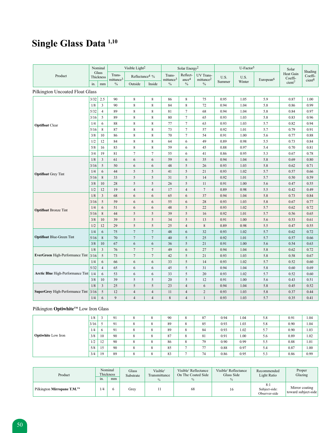# **Single Glass Data 1,10**

|                                              |        | Nominal            |                                 | Visible Light <sup>2</sup> |                 |                                 | Solar Energy <sup>2</sup>     |                                    |                | $U-Factor5$    |                       | Solar                                               |                                          |
|----------------------------------------------|--------|--------------------|---------------------------------|----------------------------|-----------------|---------------------------------|-------------------------------|------------------------------------|----------------|----------------|-----------------------|-----------------------------------------------------|------------------------------------------|
| Product                                      |        | Glass<br>Thickness | Trans-<br>mittance <sup>3</sup> | Reflectance4 %             |                 | Trans-<br>mittance <sup>3</sup> | Reflect-<br>ance <sup>4</sup> | UV Trans-<br>mittance <sup>2</sup> | U.S.<br>Summer | U.S.<br>Winter | European <sup>6</sup> | <b>Heat Gain</b><br>Coeffi-<br>$cient$ <sup>7</sup> | Shading<br>Coeffi-<br>cient <sup>8</sup> |
|                                              | in.    | mm                 | $\%$                            | Outside                    | Inside          | $\frac{0}{0}$                   | $\frac{0}{0}$                 | $\%$                               |                |                |                       |                                                     |                                          |
| Pilkington Uncoated Float Glass              |        |                    |                                 |                            |                 |                                 |                               |                                    |                |                |                       |                                                     |                                          |
|                                              | 3/32   | 2.5                | 90                              | $\,$ 8 $\,$                | $\,$ 8 $\,$     | 86                              | 8                             | 75                                 | 0.95           | 1.05           | 5.9                   | 0.87                                                | 1.00                                     |
|                                              | 1/8    | $\mathbf{3}$       | 90                              | 8                          | $\,$ 8 $\,$     | 84                              | $\,$ 8 $\,$                   | 72                                 | 0.94           | 1.04           | 5.8                   | 0.86                                                | 0.99                                     |
|                                              | 5/32   | $\overline{4}$     | 89                              | 8                          | 8               | 81                              | $\tau$                        | 68                                 | 0.94           | 1.04           | 5.8                   | 0.84                                                | 0.97                                     |
|                                              | 3/16   | 5                  | 89                              | 8                          | 8               | 80                              | $\tau$                        | 65                                 | 0.93           | 1.03           | 5.8                   | 0.83                                                | 0.96                                     |
| <b>Optifloat Clear</b>                       | 1/4    | 6                  | 88                              | 8                          | 8               | 77                              | $\tau$                        | 63                                 | 0.93           | 1.03           | 5.7                   | 0.82                                                | 0.94                                     |
|                                              | 5/16   | 8                  | 87                              | 8                          | $\,8\,$         | 73                              | $\tau$                        | 57                                 | 0.92           | 1.01           | 5.7                   | 0.79                                                | 0.91                                     |
|                                              | 3/8    | 10                 | 86                              | 8                          | 8               | 70                              | $\overline{7}$                | 54                                 | 0.91           | 1.00           | 5.6                   | 0.77                                                | 0.88                                     |
|                                              | 1/2    | 12                 | 84                              | 8                          | 8               | 64                              | 6                             | 49                                 | 0.89           | 0.98           | 5.5                   | 0.73                                                | 0.84                                     |
|                                              | 5/8    | 16                 | 83                              | 8                          | 8               | 59                              | 6                             | 45                                 | 0.88           | 0.97           | 5.4                   | 0.70                                                | 0.81                                     |
|                                              | 3/4    | 19                 | 81                              | $\tau$                     | $7\phantom{.0}$ | 55                              | 6                             | 41                                 | 0.86           | 0.95           | 5.3                   | 0.67                                                | 0.78                                     |
|                                              | 1/8    | $\mathfrak{Z}$     | 61                              | 6                          | 6               | 59                              | 6                             | 35                                 | 0.94           | 1.04           | 5.8                   | 0.69                                                | 0.80                                     |
|                                              | 3/16   | 5                  | 50                              | 6                          | 6               | 48                              | 5                             | 26                                 | 0.93           | 1.03           | 5.8                   | 0.62                                                | 0.71                                     |
| <b>Optifloat</b> Grey Tint                   | 1/4    | 6                  | 44                              | 5                          | 5               | 41                              | 5                             | 21                                 | 0.93           | 1.02           | 5.7                   | 0.57                                                | 0.66                                     |
|                                              | 5/16   | 8                  | 33                              | 5                          | 5               | 31                              | 5                             | 14                                 | 0.92           | 1.01           | 5.7                   | 0.50                                                | 0.59                                     |
|                                              | 3/8    | 10                 | 28                              | 5                          | 5               | 26                              | 5                             | 11                                 | 0.91           | 1.00           | 5.6                   | 0.47                                                | 0.55                                     |
|                                              | 1/2    | 12                 | 19                              | $\overline{4}$             | $\overline{4}$  | 17                              | $\overline{4}$                | $\overline{7}$                     | 0.89           | 0.98           | 5.5                   | 0.42                                                | 0.49                                     |
|                                              | 1/8    | $\overline{3}$     | 68                              | 6                          | 6               | 65                              | 6                             | 37                                 | 0.94           | 1.04           | 5.8                   | 0.73                                                | 0.84                                     |
|                                              | 3/16   | 5                  | 59                              | 6                          | 6               | 55                              | 6                             | 28                                 | 0.93           | 1.03           | 5.8                   | 0.67                                                | 0.77                                     |
| <b>Optifloat Bronze Tint</b>                 | 1/4    | 6                  | 51                              | 6                          | 6               | 48                              | 5                             | 22                                 | 0.93           | 1.02           | 5.7                   | 0.62                                                | 0.72                                     |
|                                              | 5/16   | 8                  | 44                              | 5                          | 5               | 39                              | 5                             | 16                                 | 0.92           | 1.01           | 5.7                   | 0.56                                                | 0.65                                     |
|                                              | 3/8    | 10                 | 39                              | 5                          | 5               | 34                              | 5                             | 13                                 | 0.91           | 1.00           | 5.6                   | 0.53                                                | 0.61                                     |
|                                              | 1/2    | 12                 | 29                              | $\sqrt{5}$                 | 5               | 25                              | $\overline{\mathbf{4}}$       | $\,$ 8 $\,$                        | 0.89           | 0.98           | 5.5                   | 0.47                                                | 0.55                                     |
|                                              | 1/4    | 6                  | 75                              | $\overline{7}$             | $7\phantom{.0}$ | 48                              | 6                             | 32                                 | 0.93           | 1.02           | 5.7                   | 0.62                                                | 0.72                                     |
| <b>Optifloat Blue-Green Tint</b>             | $5/16$ | $\,8\,$            | $70\,$                          | $\boldsymbol{7}$           | $7\phantom{.0}$ | 40                              | $\sqrt{5}$                    | 25                                 | 0.92           | 1.01           | 5.7                   | 0.57                                                | 0.66                                     |
|                                              | 3/8    | 10                 | 67                              | 6                          | 6               | 36                              | 5                             | 21                                 | 0.91           | 1.00           | 5.6                   | 0.54                                                | 0.63                                     |
|                                              | 1/8    | $\mathfrak{Z}$     | 76                              | $\tau$                     | $\tau$          | 49                              | 6                             | 27                                 | 0.94           | 1.04           | 5.8                   | 0.62                                                | 0.72                                     |
| EverGreen High-Performance Tint              | $3/16$ | 5                  | 73                              | $\tau$                     | $7\phantom{.0}$ | 42                              | 5                             | 21                                 | 0.93           | 1.03           | 5.8                   | 0.58                                                | 0.67                                     |
|                                              | 1/4    | 6                  | 66                              | 6                          | 6               | 33                              | 5                             | 14                                 | 0.93           | 1.02           | 5.7                   | 0.52                                                | 0.60                                     |
|                                              | 5/32   | $\overline{4}$     | 65                              | 6                          | 6               | 45                              | 5                             | 31                                 | 0.94           | 1.04           | 5.8                   | 0.60                                                | 0.69                                     |
| <b>Arctic Blue</b> High-Performance Tint 1/4 |        | 6                  | 53                              | 6                          | 6               | 33                              | 5                             | 20                                 | 0.93           | 1.02           | 5.7                   | 0.52                                                | 0.60                                     |
|                                              | 3/8    | 10                 | 39                              | 5                          | 5               | 20                              | 5                             | 12                                 | 0.91           | 1.00           | 5.6                   | 0.43                                                | 0.51                                     |
|                                              | 1/8    | $\overline{3}$     | 25                              | 5                          | 5               | 23                              | $\overline{4}$                | 6                                  | 0.94           | 1.04           | 5.8                   | 0.45                                                | 0.52                                     |
| <b>SuperGrey High-Performance Tint</b>       | $3/16$ | 5                  | 12                              | $\overline{4}$             | $\overline{4}$  | 11                              | $\overline{4}$                | $\overline{c}$                     | 0.93           | 1.03           | 5.8                   | 0.37                                                | 0.44                                     |
|                                              | 1/4    | 6                  | 9                               | $\overline{4}$             | $\overline{4}$  | 8                               | $\overline{4}$                | $\mathbf{1}$                       | 0.93           | 1.03           | 5.7                   | 0.35                                                | 0.41                                     |

#### Pilkington **Optiwhite™** Low Iron Glass

|                           | 1/8  |          | 91 | 8 | $\Omega$<br>$\Omega$ | 90 | ŏ      | 87 | 0.94 | 1.04 | 5.8 | 0.91 | 1.04 |
|---------------------------|------|----------|----|---|----------------------|----|--------|----|------|------|-----|------|------|
|                           | 3/16 |          | 91 | ð | $\Omega$<br>$\Omega$ | 89 | ð      | 85 | 0.93 | 1.03 | 5.8 | 0.90 | 1.04 |
|                           | 1/4  | $\sigma$ | 91 | 8 | $\Omega$<br>$\Omega$ | 89 | ð      | 84 | 0.93 | 1.02 | 5.7 | 0.90 | 1.03 |
| <b>Optiwhite</b> Low Iron | 3/8  | 10       | 90 | 8 | $\circ$<br>δ         | 87 | 8      | 81 | 0.91 | 1.00 | 5.6 | 0.89 | 1.02 |
|                           | 1/2  | 12       | 90 | 8 | $\circ$<br>δ         | 86 | ⌒<br>δ | 79 | 0.90 | 0.99 | 5.5 | 0.88 | 1.01 |
|                           | 5/8  | 15       | 90 | 8 | $\circ$<br>$\Delta$  | 85 |        | 77 | 0.88 | 0.97 | 5.4 | 0.87 | 1.00 |
|                           | 3/4  | 19       | 89 |   | $\Omega$<br>$\Omega$ | 83 |        | 74 | 0.86 | 0.95 | 5.3 | 0.86 | 0.99 |

| Product                    | Thickness<br>1n. | Nominal<br>mm | Glass<br>Substrate | Visible <sup>2</sup><br>Transmittance<br>$\frac{0}{0}$ | Visible <sup>2</sup> Reflectance<br>On The Coated Side | Visible <sup>2</sup> Reflectance<br>Glass Side<br>$\%$ | Recommended<br>Light Ratio            | Proper<br>Glazing                     |
|----------------------------|------------------|---------------|--------------------|--------------------------------------------------------|--------------------------------------------------------|--------------------------------------------------------|---------------------------------------|---------------------------------------|
| Pilkington Mirropane T.M.™ | 1/4              |               | Grey               |                                                        | 68                                                     | 16                                                     | 8:1<br>Subject-side:<br>Observer-side | Mirror coating<br>toward subject-side |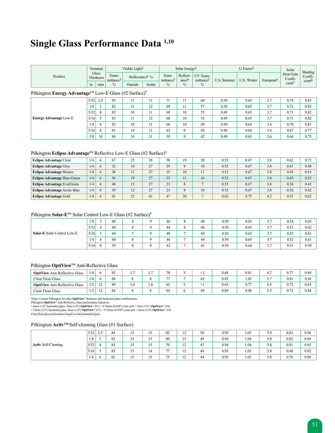## **Single Glass Performance Data 1,10**

|         |                     | Nominal |                                 | Visible Light <sup>2</sup>    |        |                                 | Solar Energy <sup>2</sup>     |                                    |             | U-Factor <sup>5</sup> |                       | Solar                | Shading                       |
|---------|---------------------|---------|---------------------------------|-------------------------------|--------|---------------------------------|-------------------------------|------------------------------------|-------------|-----------------------|-----------------------|----------------------|-------------------------------|
| Product | Glass<br>Thickness. |         | Trans-<br>mittance <sup>3</sup> | Reflectance <sup>4</sup> $\%$ |        | Trans-<br>mittance <sup>3</sup> | Reflect-<br>ance <sup>4</sup> | UV Trans-<br>mittance <sup>2</sup> | U.S. Summer | U.S. Winter           | European <sup>o</sup> | Heat Gain<br>Coeffi- | Coeffi-<br>cient <sup>8</sup> |
|         | 1n.                 | mm      | $\frac{0}{0}$                   | Outside                       | Inside | $\%$                            | $\%$                          |                                    |             |                       |                       | cent'                |                               |

#### Pilkington **Energy Advantage™** Low-E Glass (#2 Surface)<sup>9</sup>

| ັ<br>້                        | -    |     |    |       |    |    |             |    |      |      |     |      |      |
|-------------------------------|------|-----|----|-------|----|----|-------------|----|------|------|-----|------|------|
|                               | 3/32 | 2.5 | 83 |       |    | 71 | 11          | 60 | 0.50 | 0.65 | 3.7 | 0.74 | 0.85 |
|                               | 1/8  |     | 82 |       | 12 | 69 | 11          | 57 | 0.50 | 0.65 | 3.7 | 0.72 | 0.83 |
|                               | 5/32 |     | 82 | 10    |    | 68 | 10          | 55 | 0.49 | 0.65 | 3.7 | 0.71 | 0.82 |
| <b>Energy Advantage Low-E</b> | 3/16 |     | 83 | $\pm$ | 12 | 68 | 10          | 53 | 0.49 | 0.65 | 3.7 | 0.71 | 0.82 |
|                               | 1/4  | 6   | 82 | 10    |    | 66 | 10          | 49 | 0.49 | 0.64 | 3.6 | 0.70 | 0.81 |
|                               | 5/16 | 8   | 81 | 10    |    | 62 | 9           | 45 | 0.49 | 0.64 | 3.6 | 0.67 | 0.77 |
|                               | 3/8  | 10  | 80 | 10    |    | 59 | $\mathbf Q$ | 42 | 0.49 | 0.63 | 3.6 | 0.64 | 0.75 |

#### Pilkington E**clipse Advantage™** Reflective Low-E Glass (#2 Surface)<sup>9</sup>

| <b>Eclipse Advantage Clear</b>       | 1/4 | 6  | 67 | 25 | 28             | 58 | 19 | 30 | 0.53 | 0.67 | 3.8 | 0.62 | 0.72 |
|--------------------------------------|-----|----|----|----|----------------|----|----|----|------|------|-----|------|------|
| <b>Eclipse Advantage Grey</b>        | 1/4 | 6  | 32 | 10 | 27             | 29 | 8  | 10 | 0.53 | 0.67 | 3.8 | 0.41 | 0.48 |
| <b>Eclipse Advantage Bronze</b>      | 1/4 | 6  | 38 |    | 27             | 35 | 10 |    | 0.53 | 0.67 | 3.8 | 0.45 | 0.53 |
| <b>Eclipse Advantage Blue-Green</b>  | 1/4 | 6  | 56 | 19 | 27<br><u>L</u> | 35 | 11 | 16 | 0.53 | 0.67 | 3.8 | 0.45 | 0.53 |
| <b>Eclipse Advantage EverGreen</b>   | 1/4 | 6  | 48 |    | 27             | 23 | 8  |    | 0.53 | 0.67 | 3.8 | 0.36 | 0.43 |
| <b>Eclipse Advantage Arctic Blue</b> | 1/4 | 6. | 39 | 12 | 27             | 23 | 8  | 10 | 0.53 | 0.67 | 3.8 | 0.36 | 0.42 |
| <b>Eclipse Advantage Gold</b>        | 1/4 | 6  | 41 | 32 | 41             | 47 | 20 |    | 0.62 | 0.75 | 4.2 | 0.53 | 0.62 |

#### Pilkington **Solar-E<sup>™</sup>** Solar Control Low-E Glass (#2 Surface)<sup>9</sup>

| $\sim$                      |      |   |    |  |    |               |     |      |      |             |      |      |
|-----------------------------|------|---|----|--|----|---------------|-----|------|------|-------------|------|------|
|                             | 1/8  |   | 60 |  | 46 | $\Omega$<br>٥ | 48  | 0.50 | 0.65 | 37<br>، د   | 0.54 | 0.63 |
|                             | 5/32 |   | 60 |  | 44 | $\Omega$<br>ð | 46  | 0.50 | 0.65 | 37<br>، ، ب | 0.53 | 0.62 |
| Solar-E Solar Control Low-E | 3/16 |   | 60 |  | 48 | o             | 44  | 0.50 | 0.65 | 37<br>، ، ب | 0.53 | 0.61 |
|                             | 1/4  | 6 | 60 |  | 46 | o             | 44  | 0.50 | 0.65 | 3.7         | 0.52 | 0.61 |
|                             | 5/16 | 8 | 59 |  | 42 | -             | -41 | 0.50 | 0.64 | 3.7         | 0.51 | 0.59 |

#### Pilkington **OptiView™** Anti-Reflective Glass

| <b>OptiView</b> Anti-Reflective Glass | 1/4 |                  | $\Omega$<br>$\overline{1}$ |     | . . | 70             |   |    | 0.68 | 0.81 |           | 0.77 | 0.89 |
|---------------------------------------|-----|------------------|----------------------------|-----|-----|----------------|---|----|------|------|-----------|------|------|
| <b>Clear Float Glass</b>              | 1/4 |                  | 88                         |     |     | $\overline{a}$ |   |    | 0.93 | 1.02 | - -<br>J. | 0.81 | 0.94 |
| <b>OptiView</b> Anti-Reflective Glass | 1/2 | $1^{\circ}$<br>∸ | 89                         | 1.0 | 1.6 | 63             | ◡ |    | 0.65 | 0.77 | -. .      | 0.72 | 0.83 |
| <b>Clear Float Glass</b>              | 1/2 | $\sim$<br>14     | 84                         |     |     | 64             | o | 49 | 0.89 | 0.98 | ن.ر.      | 0.73 | 0.84 |

Notes: Contact Pilkington for other **OptiView**'" thickness and laminated glass combinations.<br>Pilkington **OptiView''** Anti-Reflective Glass performance based on:<br>• 6mm (1/4") laminated glass: 3mm (1/8") **OptiView**''' (#1) +

• 12mm (1/2") laminated glass: 6mm (1/4") **OptiView™** (#1) + 0.76mm (0.030") clear pvb + 6mm (1/4") **OptiView™** (#4)

Clear float glass performance based on non-laminated glass.

#### Pilkington **Activ™** Self-cleaning Glass (#1 Surface)

|                            | 3/32 | 25<br>ر. _ | 84 | "              |    | 82             | $1^{\circ}$<br>$\overline{ }$ | 50 | 0.95 | 1.05 | 5.9 | 0.83 | 0.96 |
|----------------------------|------|------------|----|----------------|----|----------------|-------------------------------|----|------|------|-----|------|------|
|                            | 1/8  |            | 83 | "              |    | 80             | 1 <sub>2</sub><br>13          | 49 | 0.94 | 1.04 | 5.8 | 0.82 | 0.94 |
| <b>Activ Self-Cleaning</b> | 5/32 | 4          | 83 | $\overline{ }$ |    | 79             | $1^{\circ}$<br>$\sim$         | 47 | 0.94 | 1.04 | 5.8 | 0.81 | 0.93 |
|                            | 3/16 |            | 83 | $\overline{1}$ | 14 | $\overline{a}$ | $1^{\circ}$<br>⊥∠             | 46 | 0.93 | 1.03 | 5.8 | 0.80 | 0.92 |
|                            | 1/4  |            | 82 | "              |    | 75             | $1^{\circ}$<br>14             | 44 | 0.93 | 1.02 | 5.8 | 0.78 | 0.90 |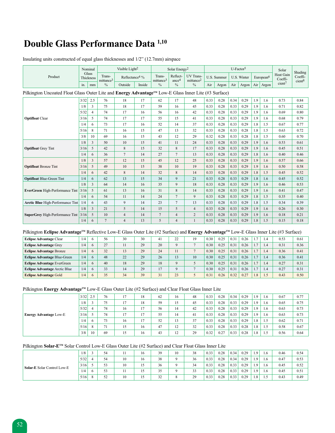### **Double Glass Performance Data 1,10**

|                                                                                                      |      | Nominal            |                                 | Visible Light <sup>2</sup> |        |                                 | Solar Energy <sup>2</sup>     |                                    |      |             | $U-Factor5$ |             |     |                       | Solar                       | Shading                       |
|------------------------------------------------------------------------------------------------------|------|--------------------|---------------------------------|----------------------------|--------|---------------------------------|-------------------------------|------------------------------------|------|-------------|-------------|-------------|-----|-----------------------|-----------------------------|-------------------------------|
| Product                                                                                              |      | Glass<br>Thickness | Trans-<br>mittance <sup>3</sup> | Reflectance <sup>4</sup> % |        | Trans-<br>mittance <sup>3</sup> | Reflect-<br>ance <sup>4</sup> | UV Trans-<br>mittance <sup>2</sup> |      | U.S. Summer |             | U.S. Winter |     | European <sup>6</sup> | <b>Heat Gain</b><br>Coeffi- | Coeffi-<br>cient <sup>8</sup> |
|                                                                                                      | in.  | mm                 | $\frac{0}{0}$                   | Outside                    | Inside | $\%$                            | $\frac{0}{0}$                 | $\frac{0}{0}$                      | Air  | Argon       | Air         | Argon       |     | Air $Argon$           | $cient$ <sup>7</sup>        |                               |
| Pilkington Uncoated Float Glass Outer Lite and Energy Advantage™ Low-E Glass Inner Lite (#3 Surface) |      |                    |                                 |                            |        |                                 |                               |                                    |      |             |             |             |     |                       |                             |                               |
|                                                                                                      | 3/32 | 2.5                | 76                              | 18                         | 17     | 62                              | 17                            | 48                                 | 0.33 | 0.28        | 0.34        | 0.29        | 1.9 | 1.6                   | 0.73                        | 0.84                          |
|                                                                                                      | 1/8  | 3                  | 75                              | 18                         | 17     | 59                              | 16                            | 45                                 | 0.33 | 0.28        | 0.33        | 0.29        | 1.9 | 1.6                   | 0.71                        | 0.82                          |
|                                                                                                      | 5/32 | 4                  | 74                              | 17                         | 16     | 56                              | 16                            | 42                                 | 0.33 | 0.28        | 0.33        | 0.29        | 1.9 | 1.6                   | 0.69                        | 0.80                          |
| <b>Optifloat Clear</b>                                                                               | 3/16 | 5                  | 74                              | 17                         | 17     | 55                              | 15                            | 41                                 | 0.33 | 0.28        | 0.33        | 0.29        | 1.9 | 1.6                   | 0.68                        | 0.79                          |
|                                                                                                      | 1/4  | 6                  | 73                              | 17                         | 16     | 52                              | 14                            | 37                                 | 0.33 | 0.28        | 0.33        | 0.29        | 1.8 | 1.5                   | 0.67                        | 0.77                          |
|                                                                                                      | 5/16 | 8                  | 71                              | 16                         | 15     | 47                              | 13                            | 32                                 | 0.33 | 0.28        | 0.33        | 0.28        | 1.8 | 1.5                   | 0.63                        | 0.72                          |
|                                                                                                      | 3/8  | 10                 | 69                              | 16                         | 15     | 43                              | 12                            | 29                                 | 0.32 | 0.28        | 0.33        | 0.28        | 1.8 | 1.5                   | 0.60                        | 0.70                          |
|                                                                                                      | 1/8  | 3                  | 50                              | 10                         | 15     | 41                              | 11                            | 24                                 | 0.33 | 0.28        | 0.33        | 0.29        | 1.9 | 1.6                   | 0.53                        | 0.61                          |
| <b>Optifloat</b> Grey Tint                                                                           | 3/16 | 5                  | 42                              | 8                          | 15     | 32                              | 8                             | 17                                 | 0.33 | 0.28        | 0.33        | 0.29        | 1.9 | 1.6                   | 0.45                        | 0.51                          |
|                                                                                                      | 1/4  | 6                  | 36                              | $\overline{7}$             | 14     | 27                              | $\overline{7}$                | 13                                 | 0.33 | 0.28        | 0.33        | 0.29        | 1.8 | 1.6                   | 0.40                        | 0.46                          |
|                                                                                                      | 1/8  | $\overline{3}$     | 57                              | 12                         | 15     | 45                              | 12                            | 25                                 | 0.33 | 0.28        | 0.33        | 0.29        | 1.9 | 1.6                   | 0.57                        | 0.66                          |
| <b>Optifloat Bronze Tint</b>                                                                         | 3/16 | 5                  | 49                              | 10                         | 15     | 38                              | 10                            | 19                                 | 0.33 | 0.28        | 0.33        | 0.29        | 1.9 | 1.6                   | 0.50                        | 0.58                          |
|                                                                                                      | 1/4  | 6                  | 42                              | 8                          | 14     | 32                              | 8                             | 14                                 | 0.33 | 0.28        | 0.33        | 0.29        | 1.8 | 1.5                   | 0.45                        | 0.52                          |
| <b>Optifloat Blue-Green Tint</b>                                                                     | 1/4  | 6                  | 62                              | 13                         | 15     | 34                              | 9                             | 21                                 | 0.33 | 0.28        | 0.33        | 0.29        | 1.8 | 1.6                   | 0.45                        | 0.52                          |
|                                                                                                      | 1/8  | 3                  | 64                              | 14                         | 16     | 35                              | 9                             | 18                                 | 0.33 | 0.28        | 0.33        | 0.29        | 1.9 | 1.6                   | 0.46                        | 0.53                          |
| <b>EverGreen</b> High-Performance Tint 3/16                                                          |      | 5                  | 61                              | 13                         | 16     | 31                              | 8                             | 14                                 | 0.33 | 0.28        | 0.33        | 0.29        | 1.9 | 1.6                   | 0.41                        | 0.47                          |
|                                                                                                      | 1/4  | 6                  | 54                              | 11                         | 14     | 24                              | $\overline{7}$                | 9                                  | 0.33 | 0.28        | 0.33        | 0.29        | 1.8 | 1.5                   | 0.35                        | 0.40                          |
| Arctic Blue High-Performance Tint                                                                    | 1/4  | 6                  | 43                              | 9                          | 14     | 23                              | $7\phantom{.0}$               | 13                                 | 0.33 | 0.28        | 0.33        | 0.29        | 1.8 | 1.5                   | 0.34                        | 0.39                          |
|                                                                                                      | 1/8  | 3                  | 21                              | 5                          | 14     | 15                              | 5                             | $\overline{4}$                     | 0.33 | 0.28        | 0.33        | 0.29        | 1.9 | 1.6                   | 0.26                        | 0.30                          |
| <b>SuperGrey High-Performance Tint 3/16</b>                                                          |      | 5                  | 10                              | $\overline{4}$             | 14     | $\overline{7}$                  | $\overline{4}$                | $\overline{2}$                     | 0.33 | 0.28        | 0.33        | 0.29        | 1.9 | 1.6                   | 0.18                        | 0.21                          |
|                                                                                                      | 1/4  | 6                  | 7                               | $\overline{4}$             | 13     | 5                               | $\overline{4}$                |                                    | 0.33 | 0.28        | 0.33        | 0.29        | 1.8 | 1.5                   | 0.15                        | 0.18                          |

#### Insulating units constructed of equal glass thicknesses and 1/2" (12.7mm) airspace

#### Pilkington Eclipse Advantage<sup>™</sup> Reflective Low-E Glass Outer Lite (#2 Surface) and Energy Advantage<sup>™</sup> Low-E Glass Inner Lite (#3 Surface)

| <b>Eclipse Advantage Clear</b>       | 1/4 | 6 | 56 | 30 | 30 |                | 22       | 19 | 0.30 | 0.25 | 0.31 | 0.26 | $\mathbf{r}$   | 1.4 | 0.53 | 0.61 |
|--------------------------------------|-----|---|----|----|----|----------------|----------|----|------|------|------|------|----------------|-----|------|------|
| <b>Eclipse Advantage Grey</b>        | 1/4 | 6 | 27 |    | 29 | 20             | $\Omega$ |    | 0.30 | 0.25 | 0.31 | 0.26 | $\mathcal{I}$  | . 4 | 0.31 | 0.36 |
| <b>Eclipse Advantage Bronze</b>      | 1/4 | 6 | 32 | 13 | 29 | 24             | 11       |    | 0.30 | 0.25 | 0.31 | 0.26 | $\overline{7}$ | .4  | 0.36 | 0.41 |
| <b>Eclipse Advantage Blue-Green</b>  | 1/4 | 6 | 48 | 22 | 29 | 26             | 13       | 10 | 0.30 | 0.25 | 0.31 | 0.26 | 17             | . 4 | 0.36 | 0.41 |
| <b>Eclipse Advantage EverGreen</b>   | 1/4 | 6 | 40 | 18 | 29 | 18             | $\Omega$ |    | 0.30 | 0.25 | 0.31 | 0.26 | $7^{\circ}$    | . 4 | 0.27 | 0.31 |
| <b>Eclipse Advantage Arctic Blue</b> | 1/4 | 6 | 33 | 14 | 29 | $\overline{1}$ | $\Omega$ |    | 0.30 | 0.25 | 0.31 | 0.26 | $\overline{7}$ | 1.4 | 0.27 | 0.31 |
| <b>Eclipse Advantage Gold</b>        | 1/4 | 6 | 35 | 34 | 39 |                | 23       |    | 0.31 | 0.26 | 0.32 | 0.27 | 1.8            | 1.5 | 0.43 | 0.50 |

#### Pilkington **Energy AdvantageTM** Low-E Glass Outer Lite (#2 Surface) and Clear Float Glass Inner Lite

|                               | 3/32 | 2.5 | 76 | 17 | 18 | 62 | 16 | 48 | 0.33 | 0.28 | 0.34 | 0.29 | 1.9 | 1.6 | 0.67 | 0.77 |
|-------------------------------|------|-----|----|----|----|----|----|----|------|------|------|------|-----|-----|------|------|
|                               | 1/8  |     | 75 |    | 18 | 59 | 15 | 45 | 0.33 | 0.28 | 0.33 | 0.29 | 1.9 | 1.6 | 0.65 | 0.75 |
|                               | 5/32 | 4   | 74 | 16 | 17 | 56 | 14 | 42 | 0.33 | 0.28 | 0.33 | 0.29 | 1.9 | 1.6 | 0.63 | 0.73 |
| <b>Energy Advantage Low-E</b> | 3/16 |     | 74 |    | 17 | 55 | 14 | 41 | 0.33 | 0.28 | 0.33 | 0.29 | 1.9 | 1.6 | 0.63 | 0.73 |
|                               | 1/4  | 6   | 73 | 16 | 17 | 52 | 13 | 37 | 0.33 | 0.28 | 0.33 | 0.29 | 1.8 | 1.5 | 0.62 | 0.71 |
|                               | 5/16 | 8   | 71 |    | 16 | 47 | 12 | 32 | 0.33 | 0.28 | 0.33 | 0.28 | 1.8 | 1.5 | 0.58 | 0.67 |
|                               | 3/8  | 10  | 69 | 15 | 16 | 43 | 12 | 29 | 0.32 | 0.27 | 0.33 | 0.28 | 1.8 | 1.5 | 0.56 | 0.64 |

#### Pilkington **Solar-ETM** Solar Control Low-E Glass Outer Lite (#2 Surface) and Clear Float Glass Inner Lite

|                             | 1/8  | 54 |    | 16 | 39 | 10       | 38                                    | 0.33 | 0.28 | 0.34 | 0.29 | 1.9 | 0.1           | 0.46 | 0.54 |
|-----------------------------|------|----|----|----|----|----------|---------------------------------------|------|------|------|------|-----|---------------|------|------|
|                             | 5/32 | 54 | 10 | 16 | 38 | $\Omega$ | 36                                    | 0.33 | 0.28 | 0.34 | 0.29 | 1.9 | $1.6^{\circ}$ | 0.47 | 0.53 |
| Solar-E Solar Control Low-E | 3/16 | 53 | 10 |    | 36 | Q        | 34                                    | 0.33 | 0.28 | 0.33 | 0.29 | 1.9 | 1.6           | 0.45 | 0.52 |
|                             | 1/4  | 53 |    |    | 35 | Q        | $\mathcal{L}$<br>$\sim$ $\sim$<br>ر ر | 0.33 | 0.28 | 0.33 | 0.29 | 1.9 | 1.6           | 0.45 | 0.51 |
|                             | 5/16 | 52 | 10 |    | 32 | ð        | 29                                    | 0.33 | 0.28 | 0.33 | 0.29 | 1.8 |               | 0.43 | 0.49 |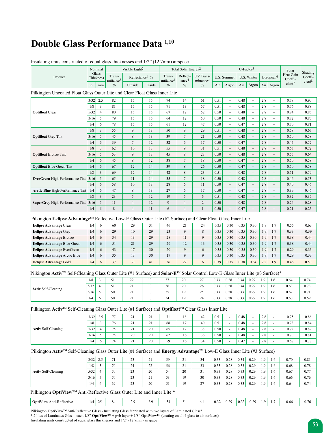### **Double Glass Performance Data 1,10**

| $\mu$ msurating units constructed of equal grass uncknesses and $1/2$ (12.7 min) anspace                                       |      |                    |                                 |                            |        |                                 |                                 |                                    |      |                          |      |                          |     |                          |                      |                               |
|--------------------------------------------------------------------------------------------------------------------------------|------|--------------------|---------------------------------|----------------------------|--------|---------------------------------|---------------------------------|------------------------------------|------|--------------------------|------|--------------------------|-----|--------------------------|----------------------|-------------------------------|
|                                                                                                                                |      | Nominal            |                                 | Visible Light <sup>2</sup> |        |                                 | Total Solar Energy <sup>2</sup> |                                    |      |                          |      | U-Factor <sup>5</sup>    |     |                          | Solar                | Shading                       |
| Product                                                                                                                        |      | Glass<br>Thickness | Trans-<br>mittance <sup>3</sup> | Reflectance <sup>4</sup> % |        | Trans-<br>mittance <sup>3</sup> | Reflect-<br>ance <sup>4</sup>   | UV Trans-<br>mittance <sup>2</sup> |      | U.S. Summer              |      | U.S. Winter              |     | European <sup>6</sup>    | Heat Gain<br>Coeffi- | Coeffi-<br>cient <sup>8</sup> |
|                                                                                                                                | in.  | mm                 | $\frac{0}{0}$                   | Outside                    | Inside | $\%$                            | $\%$                            | $\%$                               | Air  | Argon                    | Air  | Argon                    |     | Air   Argon              | cient <sup>7</sup>   |                               |
| Pilkington Uncoated Float Glass Outer Lite and Clear Float Glass Inner Lite                                                    |      |                    |                                 |                            |        |                                 |                                 |                                    |      |                          |      |                          |     |                          |                      |                               |
|                                                                                                                                | 3/32 | 2.5                | 82                              | 15                         | 15     | 74                              | 14                              | 61                                 | 0.51 | $\overline{\phantom{m}}$ | 0.48 | $\equiv$                 | 2.8 | $\equiv$                 | 0.78                 | 0.90                          |
|                                                                                                                                | 1/8  | $\overline{3}$     | 81                              | 15                         | 15     | 71                              | 13                              | 57                                 | 0.51 | $\equiv$                 | 0.48 | $\equiv$                 | 2.8 | $\equiv$                 | 0.76                 | 0.88                          |
| <b>Optifloat Clear</b>                                                                                                         | 5/32 | $\overline{4}$     | 80                              | 15                         | 15     | 67                              | 12                              | 52                                 | 0.50 | $\overline{\phantom{a}}$ | 0.48 | $\overline{\phantom{m}}$ | 2.8 | $\overline{\phantom{0}}$ | 0.74                 | 0.85                          |
|                                                                                                                                | 3/16 | 5                  | 79                              | 15                         | 15     | 64                              | 12                              | 50                                 | 0.50 | $\equiv$                 | 0.48 | $\equiv$                 | 2.8 | $\qquad \qquad -$        | 0.72                 | 0.83                          |
|                                                                                                                                | 1/4  | 6                  | 78                              | 15                         | 15     | 61                              | 12                              | 47                                 | 0.50 | $\equiv$                 | 0.47 | $\equiv$                 | 2.8 | $\equiv$                 | 0.70                 | 0.81                          |
|                                                                                                                                | 1/8  | 3                  | 55                              | 9                          | 13     | 50                              | 9                               | 29                                 | 0.51 | $\overline{\phantom{m}}$ | 0.48 | $\overline{\phantom{a}}$ | 2.8 | $\equiv$                 | 0.58                 | 0.67                          |
| <b>Optifloat</b> Grey Tint                                                                                                     | 3/16 | 5                  | 45                              | $\,$ 8 $\,$                | 13     | 39                              | $\tau$                          | 21                                 | 0.50 | $\equiv$                 | 0.48 | $\equiv$                 | 2.8 | $\overline{\phantom{a}}$ | 0.50                 | 0.58                          |
|                                                                                                                                | 1/4  | 6                  | 39                              | $\boldsymbol{7}$           | 12     | 32                              | 6                               | 17                                 | 0.50 | $\overline{\phantom{a}}$ | 0.47 | $\overline{\phantom{a}}$ | 2.8 | $\equiv$                 | 0.45                 | 0.52                          |
|                                                                                                                                | 1/8  | $\mathbf{3}$       | 62                              | 10                         | 13     | 55                              | 9                               | 31                                 | 0.51 | $\equiv$                 | 0.48 | $\equiv$                 | 2.8 | $\overline{\phantom{a}}$ | 0.63                 | 0.72                          |
| <b>Optifloat</b> Bronze Tint                                                                                                   | 3/16 | 5                  | 53                              | 9                          | 13     | 45                              | $\,$ 8 $\,$                     | 23                                 | 0.50 | $\overline{\phantom{a}}$ | 0.48 | $\qquad \qquad -$        | 2.8 | $\overline{\phantom{0}}$ | 0.55                 | 0.64                          |
|                                                                                                                                | 1/4  | 6                  | 45                              | $\,$ 8 $\,$                | 12     | 38                              | $\boldsymbol{7}$                | 18                                 | 0.50 | $\overline{\phantom{m}}$ | 0.47 | $\overline{\phantom{m}}$ | 2.8 | $\overline{\phantom{0}}$ | 0.50                 | 0.58                          |
| <b>Optifloat Blue-Green Tint</b>                                                                                               | 1/4  | 6                  | 67                              | 12                         | 14     | 39                              | 8                               | 26                                 | 0.50 | $\overline{\phantom{m}}$ | 0.47 | $\overline{\phantom{a}}$ | 2.8 | $\overline{\phantom{a}}$ | 0.50                 | 0.58                          |
|                                                                                                                                | 1/8  | $\overline{3}$     | 69                              | 12                         | 14     | 42                              | $\,$ 8 $\,$                     | 23                                 | 0.51 | $\equiv$                 | 0.48 | $\equiv$                 | 2.8 | $\equiv$                 | 0.51                 | 0.59                          |
| EverGreen High-Performance Tint                                                                                                | 3/16 | 5                  | 65                              | 11                         | 14     | 35                              | $\tau$                          | 18                                 | 0.50 | $\overline{\phantom{a}}$ | 0.48 | $\overline{\phantom{a}}$ | 2.8 | $\equiv$                 | 0.46                 | 0.53                          |
|                                                                                                                                | 1/4  | 6                  | 58                              | 10                         | 13     | 28                              | 6                               | 11                                 | 0.50 | $\overline{\phantom{a}}$ | 0.47 | $\overline{\phantom{m}}$ | 2.8 | $\qquad \qquad -$        | 0.40                 | 0.46                          |
| <b>Arctic Blue High-Performance Tint</b>                                                                                       | 1/4  | 6                  | 47                              | 8                          | 13     | 27                              | 6                               | 17                                 | 0.50 | $\overline{\phantom{a}}$ | 0.47 | $\equiv$                 | 2.8 | $\qquad \qquad -$        | 0.39                 | 0.46                          |
|                                                                                                                                | 1/8  | $\mathfrak{Z}$     | 23                              | 5                          | 12     | 19                              | 5                               | 6                                  | 0.51 | $\overline{\phantom{a}}$ | 0.48 | $\frac{1}{2}$            | 2.8 | $\equiv$                 | 0.32                 | 0.37                          |
| SuperGrey High-Performance Tint                                                                                                | 3/16 | 5                  | 11                              | $\overline{\mathbf{4}}$    | 12     | 9                               | $\overline{4}$                  | $\overline{c}$                     | 0.50 | $\equiv$                 | 0.48 | $\equiv$                 | 2.8 | $\qquad \qquad -$        | 0.24                 | 0.28                          |
|                                                                                                                                | 1/4  | 6                  | 8                               | $\overline{4}$             | 11     | 6                               | $\overline{4}$                  | $\mathbf{1}$                       | 0.50 | $\equiv$                 | 0.47 | $\equiv$                 | 2.8 | $\equiv$                 | 0.21                 | 0.25                          |
| Pilkington Eclipse Advantage™ Reflective Low-E Glass Outer Lite (#2 Surface) and Clear Float Glass Inner Lite                  |      |                    |                                 |                            |        |                                 |                                 |                                    |      |                          |      |                          |     |                          |                      |                               |
| <b>Eclipse Advantage Clear</b>                                                                                                 | 1/4  | 6                  | 60                              | 29                         | 31     | 46                              | 21                              | 24                                 | 0.35 | 0.30                     | 0.35 | 0.30                     | 1.9 | 1.7                      | 0.55                 | 0.63                          |
| <b>Eclipse Advantage Grey</b>                                                                                                  | 1/4  | 6                  | 29                              | 10                         | 29     | 23                              | 9                               | $\,8\,$                            | 0.35 | 0.30                     | 0.35 | 0.30                     | 1.9 | 1.7                      | 0.33                 | 0.39                          |
| <b>Eclipse Advantage Bronze</b>                                                                                                | 1/4  | 6                  | 34                              | 13                         | 29     | 28                              | 11                              | 9                                  | 0.35 | 0.30                     | 0.35 | 0.30                     | 1.9 | 1.7                      | 0.38                 | 0.44                          |
| <b>Eclipse Advantage Blue-Green</b>                                                                                            | 1/4  | 6                  | 51                              | 21                         | 29     | 29                              | 12                              | 13                                 | 0.35 | 0.30                     | 0.35 | 0.30                     | 1.9 | 1.7                      | 0.38                 | 0.44                          |
| <b>Eclipse Advantage EverGreen</b>                                                                                             | 1/4  | 6                  | 43                              | 17                         | 30     | 20                              | 9                               | 6                                  | 0.35 | 0.30                     | 0.35 | 0.30                     | 1.9 | 1.7                      | 0.29                 | 0.33                          |
| <b>Eclipse Advantage Arctic Blue</b>                                                                                           | 1/4  | 6                  | 35                              | 13                         | 30     | 19                              | 9                               | 9                                  | 0.35 | 0.30                     | 0.35 | 0.30                     | 1.9 | 1.7                      | 0.29                 | 0.33                          |
| <b>Eclipse Advantage Gold</b>                                                                                                  | 1/4  | 6                  | 37                              | 33                         | 41     | 36                              | 22                              | 6                                  | 0.39 | 0.35                     | 0.38 | 0.34                     | 2.2 | 1.9                      | 0.46                 | 0.53                          |
| Pilkington Activ™ Self-Cleaning Glass Outer Lite (#1 Surface) and Solar-E™ Solar Control Low-E Glass Inner Lite (#3 Surface)*  |      |                    |                                 |                            |        |                                 |                                 |                                    |      |                          |      |                          |     |                          |                      |                               |
|                                                                                                                                | 1/8  | 3                  | 51                              | 22                         | 13     | 37                              | 20                              | 27                                 | 0.33 | 0.28                     | 0.34 | 0.29                     | 1.9 | 1.6                      | 0.64                 | 0.74                          |
|                                                                                                                                | 5/32 | $\overline{4}$     | 51                              | 21                         | 13     | 36                              | 20                              | 26                                 | 0.33 | 0.28                     | 0.34 | 0.29                     | 1.9 | 1.6                      | 0.63                 | 0.73                          |
| <b>Activ Self-Cleaning</b>                                                                                                     | 3/16 | 5                  | 50                              | 21                         | 13     | 35                              | 19                              | 25                                 | 0.33 | 0.28                     | 0.33 | 0.29                     | 1.9 | 1.6                      | 0.62                 | 0.71                          |
|                                                                                                                                | 1/4  | 6                  | 50                              | 21                         | 13     | 34                              | 19                              | 24                                 | 0.33 | 0.28                     | 0.33 | 0.29                     | 1.9 | 1.6                      | 0.60                 | 0.69                          |
|                                                                                                                                |      |                    |                                 |                            |        |                                 |                                 |                                    |      |                          |      |                          |     |                          |                      |                               |
| Pilkington <b>Activ</b> <sup>™</sup> Self-Cleaning Glass Outer Lite (#1 Surface) and <b>Optifloat</b> ™ Clear Glass Inner Lite |      |                    |                                 |                            |        |                                 |                                 |                                    |      |                          |      |                          |     |                          |                      |                               |
|                                                                                                                                | 3/32 | 2.5                | 77                              | 21                         | 21     | 71                              | 18                              | 42                                 | 0.51 | $\Box$                   | 0.48 | $\overline{\phantom{a}}$ | 2.8 | ÷,                       | 0.75                 | 0.86                          |
|                                                                                                                                | 1/8  | 3                  | 76                              | 21                         | 21     | 68                              | 17                              | 40                                 | 0.51 | $\omega$                 | 0.48 | $\omega$                 | 2.8 | $\blacksquare$           | 0.73                 | 0.84                          |
| <b>Activ Self-Cleaning</b>                                                                                                     | 5/32 | $\overline{4}$     | 75                              | 21                         | 20     | 65                              | 17                              | 38                                 | 0.50 | $\omega$                 | 0.48 | $\blacksquare$           | 2.8 | $\sim$                   | 0.72                 | 0.82                          |
|                                                                                                                                | 3/16 | 5                  | 75                              | 20                         | 20     | 62                              | 16                              | 36                                 | 0.50 | ÷.                       | 0.48 | ä,                       | 2.8 | $\overline{\phantom{a}}$ | 0.70                 | 0.81                          |
|                                                                                                                                | 1/4  | 6                  | 74                              | 21                         | 20     | 59                              | 16                              | 34                                 | 0.50 | $\sim$                   | 0.47 | L.                       | 2.8 | ÷,                       | 0.68                 | 0.78                          |

Insulating units constructed of equal glass thicknesses and 1/2" (12.7mm) airspace

#### Pilkington Activ<sup>™</sup> Self-Cleaning Glass Outer Lite (#1 Surface) and Energy Advantage<sup>™</sup> Low-E Glass Inner Lite (#3 Surface)

|                            | 3/32 | 5          | $\sim$ | 23<br>ں ک           | 21<br>∠⊥ | 59      | 21 | 34        | 0.33 | 0.28 | 0.34 | 0.29 | 1.9 | 1.6 | 0.70 | 0.81 |
|----------------------------|------|------------|--------|---------------------|----------|---------|----|-----------|------|------|------|------|-----|-----|------|------|
|                            | 1/8  |            | 70     | 24                  | 22       | 56      | 21 | 33<br>JJ. | 0.33 | 0.28 | 0.33 | 0.29 | 1.9 | 1.6 | 0.68 | 0.78 |
| <b>Activ Self-Cleaning</b> | 5/32 |            | 70     | $\mathcal{L}$<br>23 | 20       | 54      | 20 | 31<br>◡   | 0.33 | 0.28 | 0.33 | 0.29 | 1.9 | 1.6 | 0.67 | 0.77 |
|                            | 3/16 |            | 70     | $\sim$<br>23        | 21       | 53      | 19 | 30        | 0.33 | 0.28 | 0.33 | 0.29 | 1.9 | 1.6 | 0.66 | 0.76 |
|                            | 1/4  | $\sqrt{2}$ | 69     | 23                  | 20       | 51<br>◡ | 19 | 27        | 0.33 | 0.28 | 0.33 | 0.29 | 1.9 | 1.6 | 0.64 | 0.74 |

#### Pilkington **OptiView™** Anti-Reflective Glass Outer Lite and Inner Lite \*

| $20^{\circ}$<br>$\mathbf{r}$<br>20<br>. .<br>$\Delta$<br>$\sim$<br>. .<br>$\Omega$<br>$\Omega$<br>' OptiView.<br>$^{+}$ 0.5<br>0.2<br><br>0.66<br>Anti-Reflective<br>0.76<br>៶∠<br>⊥ ∪.ب<br>0.4<br>$^{\circ}$<br><br>.<br>$\sim \cdot$<br>.<br>$\cdot$ |
|--------------------------------------------------------------------------------------------------------------------------------------------------------------------------------------------------------------------------------------------------------|
|--------------------------------------------------------------------------------------------------------------------------------------------------------------------------------------------------------------------------------------------------------|

Pilkington **OptiView<sup>TM</sup>** Anti-Reflective Glass - Insulating Glass fabricated with two layers of Laminated Glass\*

\* 2 lites of Laminates Glass - each 1/8" **OptiViewTM** + pvb layer + 1/8" **OptiViewTM** (coating on all 4 glass to air surfaces)

Insulating units constructed of equal glass thicknesses and 1/2" (12.7mm) airspace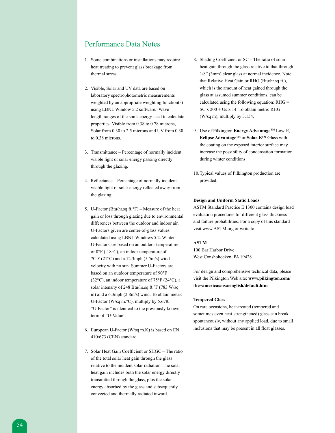### Performance Data Notes

- 1. Some combinations or installations may require heat treating to prevent glass breakage from thermal stress.
- 2. Visible, Solar and UV data are based on laboratory spectrophotometric measurements weighted by an appropriate weighting function(s) using LBNL Window 5.2 software. Wave length ranges of the sun's energy used to calculate properties: Visible from 0.38 to 0.78 microns, Solar from 0.30 to 2.5 microns and UV from 0.30 to 0.38 microns.
- 3. Transmittance Percentage of normally incident visible light or solar energy passing directly through the glazing.
- 4. Reflectance Percentage of normally incident visible light or solar energy reflected away from the glazing.
- 5. U-Factor (Btu/hr.sq ft.°F) Measure of the heat gain or loss through glazing due to environmental differences between the outdoor and indoor air. U-Factors given are center-of-glass values calculated using LBNL Windows 5.2. Winter U-Factors are based on an outdoor temperature of 0°F (-18°C), an indoor temperature of 70°F (21°C) and a 12.3mph (5.5m/s) wind velocity with no sun. Summer U-Factors are based on an outdoor temperature of 90°F (32°C), an indoor temperature of 75°F (24°C), a solar intensity of 248 Btu/hr.sq ft.°F (783 W/sq m) and a 6.3mph (2.8m/s) wind. To obtain metric U-Factor (W/sq m.°C), multiply by 5.678. "U-Factor" is identical to the previously known term of "U-Value".
- 6. European U-Factor (W/sq m.K) is based on EN 410/673 (CEN) standard.
- 7. Solar Heat Gain Coefficient or SHGC The ratio of the total solar heat gain through the glass relative to the incident solar radiation. The solar heat gain includes both the solar energy directly transmitted through the glass, plus the solar energy absorbed by the glass and subsequently convected and thermally radiated inward.
- 8. Shading Coefficient or SC The ratio of solar heat gain through the glass relative to that through 1/8" (3mm) clear glass at normal incidence. Note that Relative Heat Gain or RHG (Btu/hr.sq ft.), which is the amount of heat gained through the glass at assumed summer conditions, can be calculated using the following equation: RHG = SC x 200 + Us x 14. To obtain metric RHG (W/sq m), multiply by 3.154.
- 9. Use of Pilkington **Energy Advantage™** Low-E, **Eclipse AdvantageTM** or **Solar-ETM** Glass with the coating on the exposed interior surface may increase the possibility of condensation formation during winter conditions.
- 10.Typical values of Pilkington production are provided.

#### **Design and Uniform Static Loads**

ASTM Standard Practice E 1300 contains design load evaluation procedures for different glass thickness and failure probabilities. For a copy of this standard visit www.ASTM.org or write to:

#### **ASTM**

100 Bar Harbor Drive West Conshohocken, PA 19428

For design and comprehensive technical data, please visit the Pilkington Web site: **www.pilkington.com/ the+americas/usa/english/default.htm**

#### **Tempered Glass**

On rare occasions, heat-treated (tempered and sometimes even heat-strengthened) glass can break spontaneously, without any applied load, due to small inclusions that may be present in all float glasses.